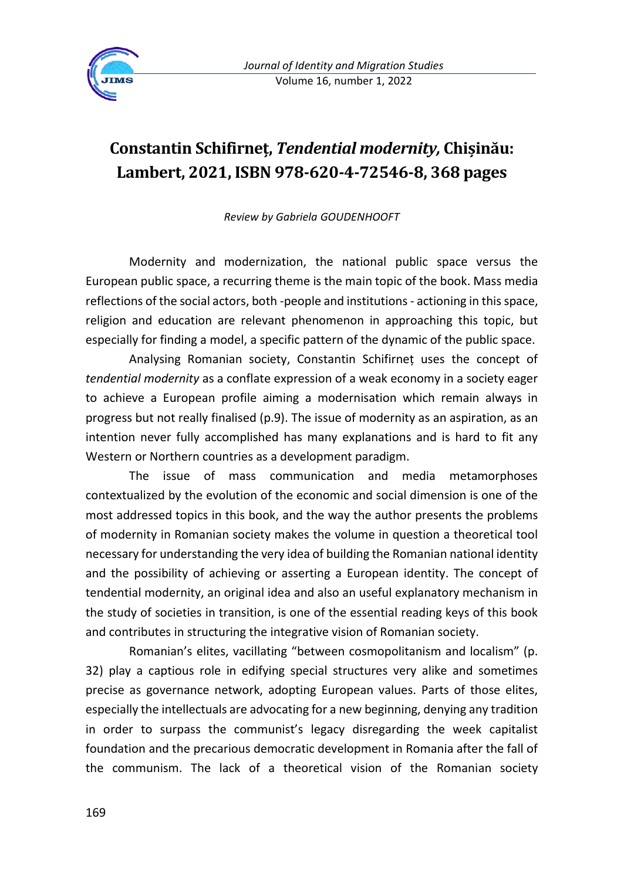

## **Constantin Schifirneț,** *Tendential modernity,* **Chișinău: Lambert, 2021, ISBN 978-620-4-72546-8, 368 pages**

*Review by Gabriela GOUDENHOOFT*

Modernity and modernization, the national public space versus the European public space, a recurring theme is the main topic of the book. Mass media reflections of the social actors, both -people and institutions - actioning in this space, religion and education are relevant phenomenon in approaching this topic, but especially for finding a model, a specific pattern of the dynamic of the public space.

Analysing Romanian society, Constantin Schifirneț uses the concept of *tendential modernity* as a conflate expression of a weak economy in a society eager to achieve a European profile aiming a modernisation which remain always in progress but not really finalised (p.9). The issue of modernity as an aspiration, as an intention never fully accomplished has many explanations and is hard to fit any Western or Northern countries as a development paradigm.

The issue of mass communication and media metamorphoses contextualized by the evolution of the economic and social dimension is one of the most addressed topics in this book, and the way the author presents the problems of modernity in Romanian society makes the volume in question a theoretical tool necessary for understanding the very idea of building the Romanian national identity and the possibility of achieving or asserting a European identity. The concept of tendential modernity, an original idea and also an useful explanatory mechanism in the study of societies in transition, is one of the essential reading keys of this book and contributes in structuring the integrative vision of Romanian society.

Romanian's elites, vacillating "between cosmopolitanism and localism" (p. 32) play a captious role in edifying special structures very alike and sometimes precise as governance network, adopting European values. Parts of those elites, especially the intellectuals are advocating for a new beginning, denying any tradition in order to surpass the communist's legacy disregarding the week capitalist foundation and the precarious democratic development in Romania after the fall of the communism. The lack of a theoretical vision of the Romanian society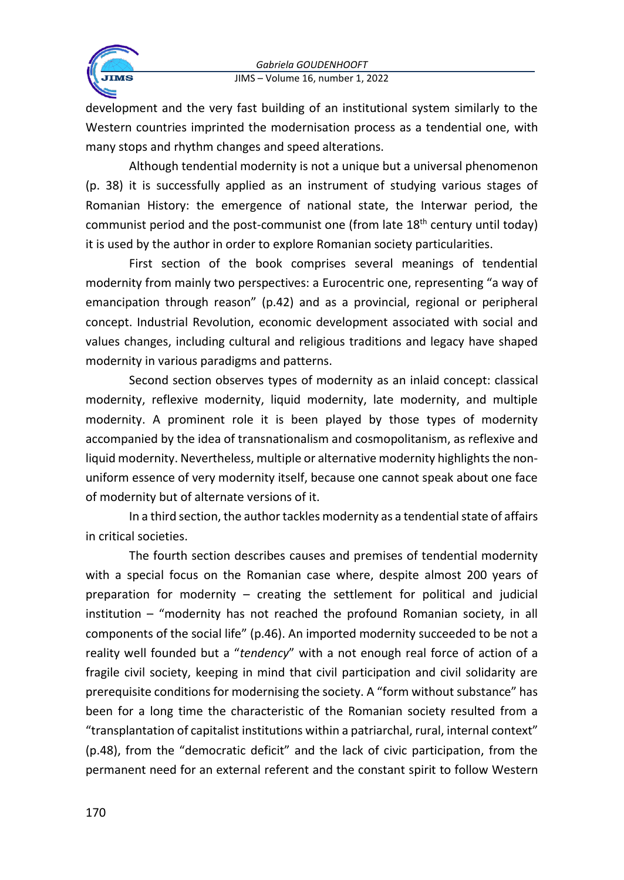

development and the very fast building of an institutional system similarly to the Western countries imprinted the modernisation process as a tendential one, with many stops and rhythm changes and speed alterations.

Although tendential modernity is not a unique but a universal phenomenon (p. 38) it is successfully applied as an instrument of studying various stages of Romanian History: the emergence of national state, the Interwar period, the communist period and the post-communist one (from late  $18<sup>th</sup>$  century until today) it is used by the author in order to explore Romanian society particularities.

First section of the book comprises several meanings of tendential modernity from mainly two perspectives: a Eurocentric one, representing "a way of emancipation through reason" (p.42) and as a provincial, regional or peripheral concept. Industrial Revolution, economic development associated with social and values changes, including cultural and religious traditions and legacy have shaped modernity in various paradigms and patterns.

Second section observes types of modernity as an inlaid concept: classical modernity, reflexive modernity, liquid modernity, late modernity, and multiple modernity. A prominent role it is been played by those types of modernity accompanied by the idea of transnationalism and cosmopolitanism, as reflexive and liquid modernity. Nevertheless, multiple or alternative modernity highlights the nonuniform essence of very modernity itself, because one cannot speak about one face of modernity but of alternate versions of it.

In a third section, the author tackles modernity as a tendential state of affairs in critical societies.

The fourth section describes causes and premises of tendential modernity with a special focus on the Romanian case where, despite almost 200 years of preparation for modernity – creating the settlement for political and judicial institution – "modernity has not reached the profound Romanian society, in all components of the social life" (p.46). An imported modernity succeeded to be not a reality well founded but a "*tendency*" with a not enough real force of action of a fragile civil society, keeping in mind that civil participation and civil solidarity are prerequisite conditions for modernising the society. A "form without substance" has been for a long time the characteristic of the Romanian society resulted from a "transplantation of capitalist institutions within a patriarchal, rural, internal context" (p.48), from the "democratic deficit" and the lack of civic participation, from the permanent need for an external referent and the constant spirit to follow Western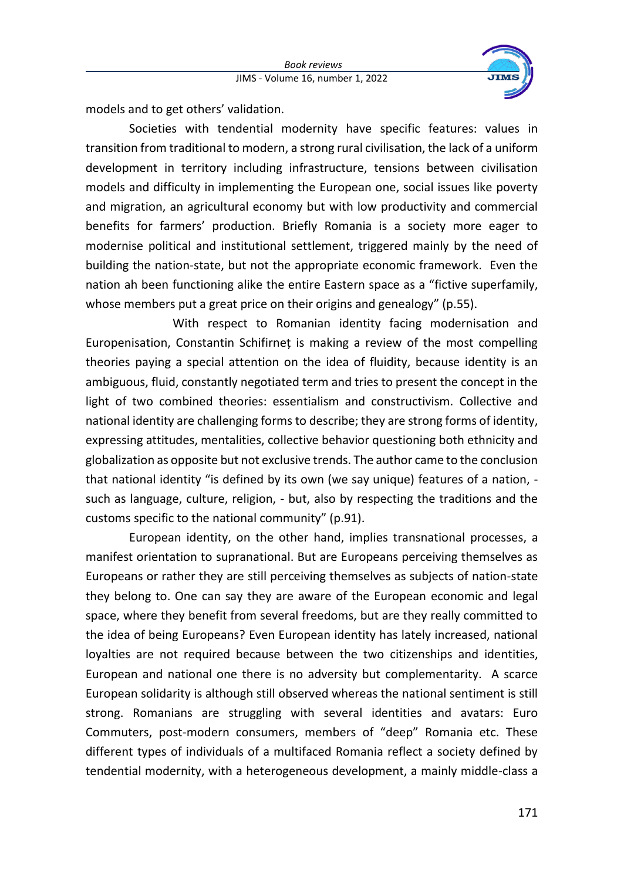

models and to get others' validation.

Societies with tendential modernity have specific features: values in transition from traditional to modern, a strong rural civilisation, the lack of a uniform development in territory including infrastructure, tensions between civilisation models and difficulty in implementing the European one, social issues like poverty and migration, an agricultural economy but with low productivity and commercial benefits for farmers' production. Briefly Romania is a society more eager to modernise political and institutional settlement, triggered mainly by the need of building the nation-state, but not the appropriate economic framework. Even the nation ah been functioning alike the entire Eastern space as a "fictive superfamily, whose members put a great price on their origins and genealogy" (p.55).

With respect to Romanian identity facing modernisation and Europenisation, Constantin Schifirneț is making a review of the most compelling theories paying a special attention on the idea of fluidity, because identity is an ambiguous, fluid, constantly negotiated term and tries to present the concept in the light of two combined theories: essentialism and constructivism. Collective and national identity are challenging forms to describe; they are strong forms of identity, expressing attitudes, mentalities, collective behavior questioning both ethnicity and globalization as opposite but not exclusive trends. The author came to the conclusion that national identity "is defined by its own (we say unique) features of a nation, such as language, culture, religion, - but, also by respecting the traditions and the customs specific to the national community" (p.91).

European identity, on the other hand, implies transnational processes, a manifest orientation to supranational. But are Europeans perceiving themselves as Europeans or rather they are still perceiving themselves as subjects of nation-state they belong to. One can say they are aware of the European economic and legal space, where they benefit from several freedoms, but are they really committed to the idea of being Europeans? Even European identity has lately increased, national loyalties are not required because between the two citizenships and identities, European and national one there is no adversity but complementarity. A scarce European solidarity is although still observed whereas the national sentiment is still strong. Romanians are struggling with several identities and avatars: Euro Commuters, post-modern consumers, members of "deep" Romania etc. These different types of individuals of a multifaced Romania reflect a society defined by tendential modernity, with a heterogeneous development, a mainly middle-class a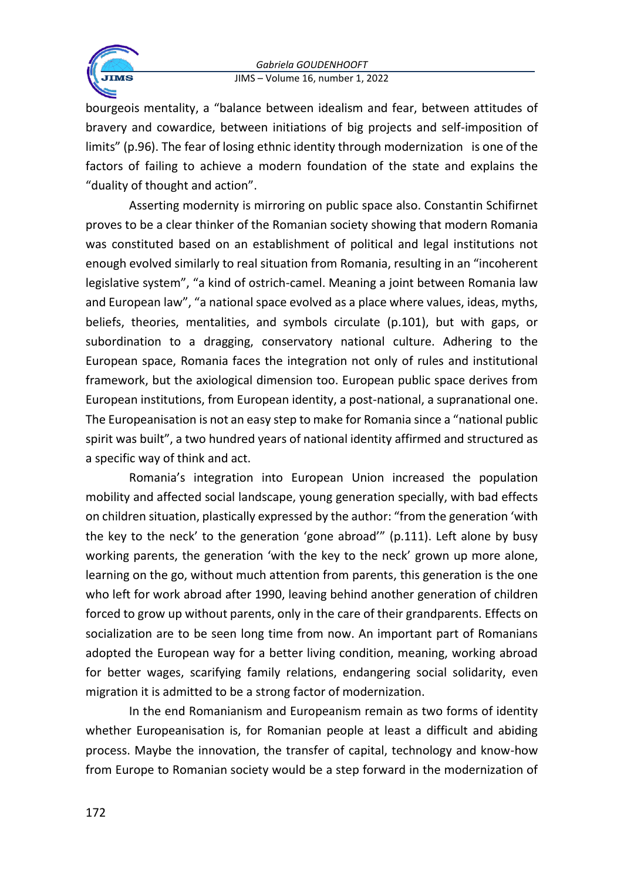

bourgeois mentality, a "balance between idealism and fear, between attitudes of bravery and cowardice, between initiations of big projects and self-imposition of limits" (p.96). The fear of losing ethnic identity through modernization is one of the factors of failing to achieve a modern foundation of the state and explains the "duality of thought and action".

Asserting modernity is mirroring on public space also. Constantin Schifirnet proves to be a clear thinker of the Romanian society showing that modern Romania was constituted based on an establishment of political and legal institutions not enough evolved similarly to real situation from Romania, resulting in an "incoherent legislative system", "a kind of ostrich-camel. Meaning a joint between Romania law and European law", "a national space evolved as a place where values, ideas, myths, beliefs, theories, mentalities, and symbols circulate (p.101), but with gaps, or subordination to a dragging, conservatory national culture. Adhering to the European space, Romania faces the integration not only of rules and institutional framework, but the axiological dimension too. European public space derives from European institutions, from European identity, a post-national, a supranational one. The Europeanisation is not an easy step to make for Romania since a "national public spirit was built", a two hundred years of national identity affirmed and structured as a specific way of think and act.

Romania's integration into European Union increased the population mobility and affected social landscape, young generation specially, with bad effects on children situation, plastically expressed by the author: "from the generation 'with the key to the neck' to the generation 'gone abroad'" (p.111). Left alone by busy working parents, the generation 'with the key to the neck' grown up more alone, learning on the go, without much attention from parents, this generation is the one who left for work abroad after 1990, leaving behind another generation of children forced to grow up without parents, only in the care of their grandparents. Effects on socialization are to be seen long time from now. An important part of Romanians adopted the European way for a better living condition, meaning, working abroad for better wages, scarifying family relations, endangering social solidarity, even migration it is admitted to be a strong factor of modernization.

In the end Romanianism and Europeanism remain as two forms of identity whether Europeanisation is, for Romanian people at least a difficult and abiding process. Maybe the innovation, the transfer of capital, technology and know-how from Europe to Romanian society would be a step forward in the modernization of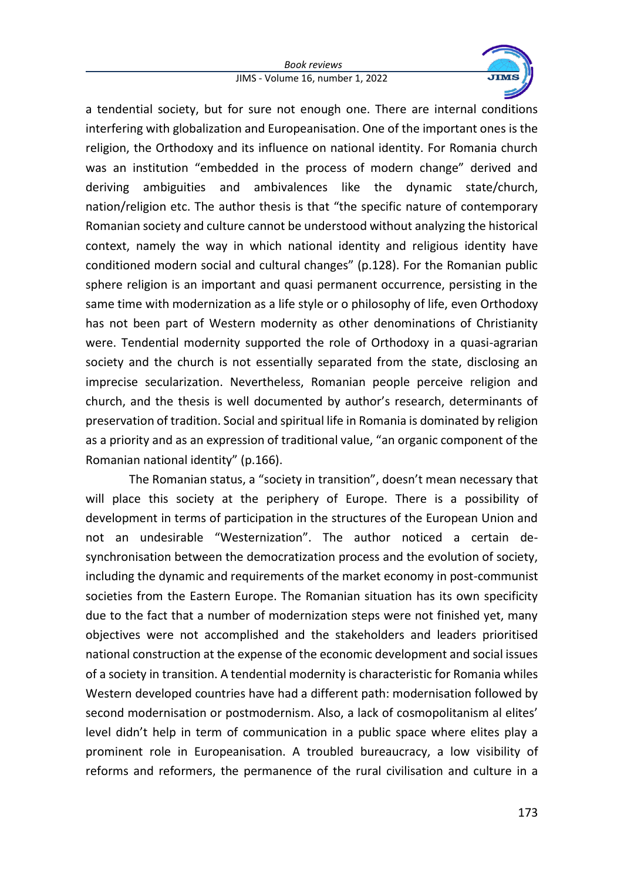## *Book reviews* JIMS - Volume 16, number 1, 2022



a tendential society, but for sure not enough one. There are internal conditions interfering with globalization and Europeanisation. One of the important ones is the religion, the Orthodoxy and its influence on national identity. For Romania church was an institution "embedded in the process of modern change" derived and deriving ambiguities and ambivalences like the dynamic state/church, nation/religion etc. The author thesis is that "the specific nature of contemporary Romanian society and culture cannot be understood without analyzing the historical context, namely the way in which national identity and religious identity have conditioned modern social and cultural changes" (p.128). For the Romanian public sphere religion is an important and quasi permanent occurrence, persisting in the same time with modernization as a life style or o philosophy of life, even Orthodoxy has not been part of Western modernity as other denominations of Christianity were. Tendential modernity supported the role of Orthodoxy in a quasi-agrarian society and the church is not essentially separated from the state, disclosing an imprecise secularization. Nevertheless, Romanian people perceive religion and church, and the thesis is well documented by author's research, determinants of preservation of tradition. Social and spiritual life in Romania is dominated by religion as a priority and as an expression of traditional value, "an organic component of the Romanian national identity" (p.166).

The Romanian status, a "society in transition", doesn't mean necessary that will place this society at the periphery of Europe. There is a possibility of development in terms of participation in the structures of the European Union and not an undesirable "Westernization". The author noticed a certain desynchronisation between the democratization process and the evolution of society, including the dynamic and requirements of the market economy in post-communist societies from the Eastern Europe. The Romanian situation has its own specificity due to the fact that a number of modernization steps were not finished yet, many objectives were not accomplished and the stakeholders and leaders prioritised national construction at the expense of the economic development and social issues of a society in transition. A tendential modernity is characteristic for Romania whiles Western developed countries have had a different path: modernisation followed by second modernisation or postmodernism. Also, a lack of cosmopolitanism al elites' level didn't help in term of communication in a public space where elites play a prominent role in Europeanisation. A troubled bureaucracy, a low visibility of reforms and reformers, the permanence of the rural civilisation and culture in a